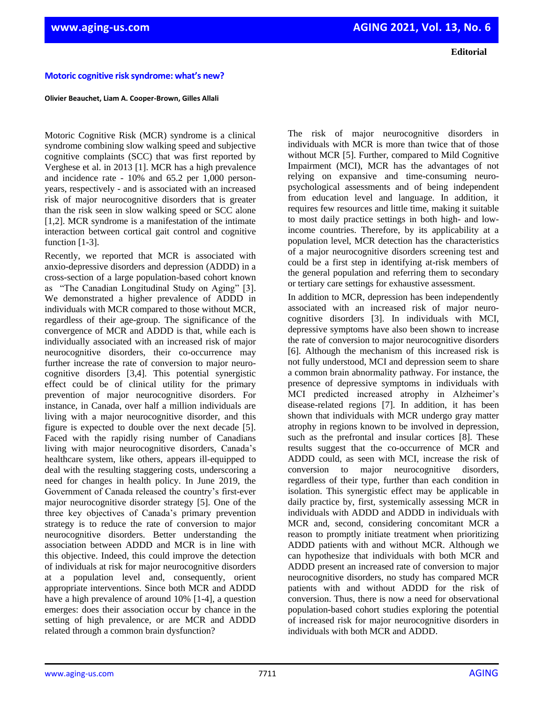## **Motoric cognitive risk syndrome: what's new?**

## **Olivier Beauchet, Liam A. Cooper-Brown, Gilles Allali**

Motoric Cognitive Risk (MCR) syndrome is a clinical syndrome combining slow walking speed and subjective cognitive complaints (SCC) that was first reported by Verghese et al. in 2013 [1]. MCR has a high prevalence and incidence rate - 10% and 65.2 per 1,000 personyears, respectively - and is associated with an increased risk of major neurocognitive disorders that is greater than the risk seen in slow walking speed or SCC alone [1,2]. MCR syndrome is a manifestation of the intimate interaction between cortical gait control and cognitive function [1-3].

Recently, we reported that MCR is associated with anxio-depressive disorders and depression (ADDD) in a cross-section of a large population-based cohort known as "The Canadian Longitudinal Study on Aging" [3]. We demonstrated a higher prevalence of ADDD in individuals with MCR compared to those without MCR, regardless of their age-group. The significance of the convergence of MCR and ADDD is that, while each is individually associated with an increased risk of major neurocognitive disorders, their co-occurrence may further increase the rate of conversion to major neurocognitive disorders [3,4]. This potential synergistic effect could be of clinical utility for the primary prevention of major neurocognitive disorders. For instance, in Canada, over half a million individuals are living with a major neurocognitive disorder, and this figure is expected to double over the next decade [5]. Faced with the rapidly rising number of Canadians living with major neurocognitive disorders, Canada's healthcare system, like others, appears ill-equipped to deal with the resulting staggering costs, underscoring a need for changes in health policy. In June 2019, the Government of Canada released the country's first-ever major neurocognitive disorder strategy [5]. One of the three key objectives of Canada's primary prevention strategy is to reduce the rate of conversion to major neurocognitive disorders. Better understanding the association between ADDD and MCR is in line with this objective. Indeed, this could improve the detection of individuals at risk for major neurocognitive disorders at a population level and, consequently, orient appropriate interventions. Since both MCR and ADDD have a high prevalence of around 10% [1-4], a question emerges: does their association occur by chance in the setting of high prevalence, or are MCR and ADDD related through a common brain dysfunction?

The risk of major neurocognitive disorders in individuals with MCR is more than twice that of those without MCR [5]. Further, compared to Mild Cognitive Impairment (MCI), MCR has the advantages of not relying on expansive and time-consuming neuropsychological assessments and of being independent from education level and language. In addition, it requires few resources and little time, making it suitable to most daily practice settings in both high- and lowincome countries. Therefore, by its applicability at a population level, MCR detection has the characteristics of a major neurocognitive disorders screening test and could be a first step in identifying at-risk members of the general population and referring them to secondary or tertiary care settings for exhaustive assessment.

In addition to MCR, depression has been independently associated with an increased risk of major neurocognitive disorders [3]. In individuals with MCI, depressive symptoms have also been shown to increase the rate of conversion to major neurocognitive disorders [6]. Although the mechanism of this increased risk is not fully understood, MCI and depression seem to share a common brain abnormality pathway. For instance, the presence of depressive symptoms in individuals with MCI predicted increased atrophy in Alzheimer's disease-related regions [7]. In addition, it has been shown that individuals with MCR undergo gray matter atrophy in regions known to be involved in depression, such as the prefrontal and insular cortices [8]. These results suggest that the co-occurrence of MCR and ADDD could, as seen with MCI, increase the risk of conversion to major neurocognitive disorders, regardless of their type, further than each condition in isolation. This synergistic effect may be applicable in daily practice by, first, systemically assessing MCR in individuals with ADDD and ADDD in individuals with MCR and, second, considering concomitant MCR a reason to promptly initiate treatment when prioritizing ADDD patients with and without MCR. Although we can hypothesize that individuals with both MCR and ADDD present an increased rate of conversion to major neurocognitive disorders, no study has compared MCR patients with and without ADDD for the risk of conversion. Thus, there is now a need for observational population-based cohort studies exploring the potential of increased risk for major neurocognitive disorders in individuals with both MCR and ADDD.